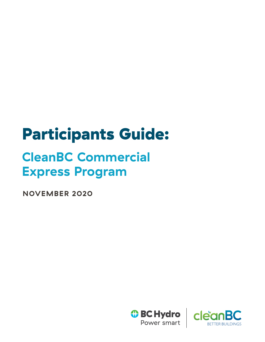# Participants Guide:

## **CleanBC Commercial Express Program**

**NOVEMBER 2020**



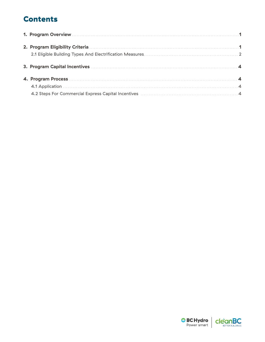## **Contents**



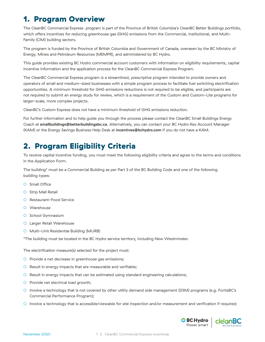## <span id="page-2-0"></span>1. Program Overview

The CleanBC Commercial Express program is part of the Province of British Columbia's CleanBC Better Buildings portfolio, which offers incentives for reducing greenhouse gas (GHG) emissions from the Commercial, Institutional, and Multi-Family (CIM) building sectors.

The program is funded by the Province of British Columbia and Government of Canada, overseen by the BC Ministry of Energy, Mines and Petroleum Resources (MEMPR), and administered by BC Hydro.

This guide provides existing BC Hydro commercial account customers with information on eligibility requirements, capital incentive information and the application process for the CleanBC Commercial Express Program.

The CleanBC Commercial Express program is a streamlined, prescriptive program intended to provide owners and operators of small and medium-sized businesses with a simple program process to facilitate fuel switching electrification opportunities. A minimum threshold for GHG emissions reductions is not required to be eligible, and participants are not required to submit an energy study for review, which is a requirement of the Custom and Custom-Lite programs for larger-scale, more complex projects.

CleanBC's Custom Express does not have a minimum threshold of GHG emissions reduction.

For further information and to help guide you through the process please contact the CleanBC Small Buildings Energy Coach at **[smallbuildings@betterbuildingsbc.ca](mailto:smallbuildings%40betterbuildingsbc.ca?subject=)**. Alternatively, you can contact your BC Hydro Key Account Manager (KAM) or the Energy Savings Business Help Desk at **[incentives@bchydro.com](mailto:incentives%40bchydro.com?subject=)** if you do not have a KAM.

## 2. Program Eligibility Criteria

To receive capital incentive funding, you must meet the following eligibility criteria and agree to the terms and conditions in the Application Form.

The building\* must be a Commercial Building as per Part 3 of the BC Building Code and one of the following building types:

- O Small Office
- O Strip Mall Retail
- Restaurant-Food Service
- Warehouse
- O School Gymnasium
- O Larger Retail Warehouse
- Multi-Unit Residential Building (MURB)

\*The building must be located in the BC Hydro service territory, including New Westminster.

The electrification measure(s) selected for the project must:

- Provide a net decrease in greenhouse gas emissions;
- Result in energy impacts that are measurable and verifiable;
- Result in energy impacts that can be estimated using standard engineering calculations;
- O Provide net electrical load growth;
- Involve a technology that is not covered by other utility demand side management (DSM) programs (e.g. FortisBC's Commercial Performance Program);
- Involve a technology that is accessible/viewable for site inspection and/or measurement and verification if required;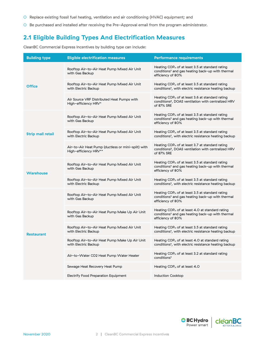- <span id="page-3-0"></span>○ Replace existing fossil fuel heating, ventilation and air conditioning (HVAC) equipment; and
- Be purchased and installed after receiving the Pre-Approval email from the program administrator.

#### **2.1 Eligible Building Types And Electrification Measures**

CleanBC Commercial Express Incentives by building type can include:

| <b>Building type</b>     | <b>Eligible electrification measures</b>                                    | <b>Performance requirements</b>                                                                                                         |
|--------------------------|-----------------------------------------------------------------------------|-----------------------------------------------------------------------------------------------------------------------------------------|
|                          | Rooftop Air-to-Air Heat Pump Mixed Air Unit<br>with Gas Backup              | Heating $COP_H$ of at least 3.5 at standard rating<br>conditions <sup>1</sup> and gas heating back-up with thermal<br>efficiency of 80% |
| <b>Office</b>            | Rooftop Air-to-Air Heat Pump Mixed Air Unit<br>with Electric Backup         | Heating $COP_H$ of at least 3.5 at standard rating<br>conditions <sup>1</sup> , with electric resistance heating backup                 |
|                          | Air Source VRF Distributed Heat Pumps with<br>High-efficiency HRV*          | Heating COP $_{H}$ of at least 3.6 at standard rating<br>conditions <sup>2</sup> , DOAS ventilation with centralized HRV<br>of 87% SRE  |
|                          | Rooftop Air-to-Air Heat Pump Mixed Air Unit<br>with Gas Backup              | Heating COP $H$ of at least 3.5 at standard rating<br>conditions <sup>1</sup> and gas heating back-up with thermal<br>efficiency of 80% |
| <b>Strip mall retail</b> | Rooftop Air-to-Air Heat Pump Mixed Air Unit<br>with Electric Backup         | Heating COP $_{H}$ of at least 3.5 at standard rating<br>conditions <sup>1</sup> , with electric resistance heating backup              |
|                          | Air-to-Air Heat Pump (ductless or mini-split) with<br>High-efficiency HRV** | Heating COP $_{H}$ of at least 3.7 at standard rating<br>conditions <sup>2</sup> , DOAS ventilation with centralized HRV<br>of 87% SRE  |
| <b>Warehouse</b>         | Rooftop Air-to-Air Heat Pump Mixed Air Unit<br>with Gas Backup              | Heating $COP_H$ of at least 3.5 at standard rating<br>conditions <sup>1</sup> and gas heating back-up with thermal<br>efficiency of 80% |
|                          | Rooftop Air-to-Air Heat Pump Mixed Air Unit<br>with Electric Backup         | Heating COP $_{\rm H}$ of at least 3.5 at standard rating<br>conditions <sup>1</sup> , with electric resistance heating backup          |
|                          | Rooftop Air-to-Air Heat Pump Mixed Air Unit<br>with Gas Backup              | Heating $COP_H$ of at least 3.5 at standard rating<br>conditions <sup>1</sup> and gas heating back-up with thermal<br>efficiency of 80% |
|                          | Rooftop Air-to-Air Heat Pump Make Up Air Unit<br>with Gas Backup            | Heating $COP_H$ of at least 4.0 at standard rating<br>conditions <sup>1</sup> and gas heating back-up with thermal<br>efficiency of 80% |
| <b>Restaurant</b>        | Rooftop Air-to-Air Heat Pump Mixed Air Unit<br>with Electric Backup         | Heating $COP_H$ of at least 3.5 at standard rating<br>conditions <sup>1</sup> , with electric resistance heating backup                 |
|                          | Rooftop Air-to-Air Heat Pump Make Up Air Unit<br>with Electric Backup       | Heating $COP_H$ of at least 4.0 at standard rating<br>conditions <sup>1</sup> , with electric resistance heating backup                 |
|                          | Air-to-Water CO2 Heat Pump Water Heater                                     | Heating COP $_{H}$ of at least 3.2 at standard rating<br>conditions <sup>1</sup>                                                        |
|                          | Sewage Heat Recovery Heat Pump                                              | Heating COP $_{\rm H}$ of at least 4.0                                                                                                  |
|                          | Electrify Food Preparation Equipment                                        | Induction Cooktop                                                                                                                       |

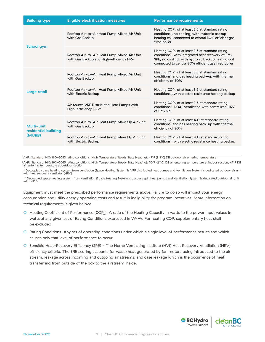| <b>Building type</b>               | <b>Eligible electrification measures</b>                                               | <b>Performance requirements</b>                                                                                                                                                                                                   |
|------------------------------------|----------------------------------------------------------------------------------------|-----------------------------------------------------------------------------------------------------------------------------------------------------------------------------------------------------------------------------------|
|                                    | Rooftop Air-to-Air Heat Pump Mixed Air Unit<br>with Gas Backup                         | Heating COP <sub>H</sub> of at least 3.5 at standard rating<br>conditions <sup>1</sup> , no cooling, with hydronic backup<br>heating coil connected to central 80% efficient gas<br>fired boiler                                  |
| <b>School gym</b>                  | Rooftop Air-to-Air Heat Pump Mixed Air Unit<br>with Gas Backup and High-efficiency HRV | Heating $COP_H$ of at least 3.5 at standard rating<br>conditions <sup>1</sup> , with integrated heat recovery of 87%<br>SRE, no cooling, with hydronic backup heating coil<br>connected to central 80% efficient gas fired boiler |
|                                    | Rooftop Air-to-Air Heat Pump Mixed Air Unit<br>with Gas Backup                         | Heating $COP_H$ of at least 3.5 at standard rating<br>conditions <sup>1</sup> and gas heating back-up with thermal<br>efficiency of 80%                                                                                           |
| Large retail                       | Rooftop Air-to-Air Heat Pump Mixed Air Unit<br>with Electric Backup                    | Heating $COP_H$ of at least 3.5 at standard rating<br>conditions <sup>1</sup> , with electric resistance heating backup                                                                                                           |
|                                    | Air Source VRF Distributed Heat Pumps with<br>High-efficiency HRV*                     | Heating $COP_H$ of at least 3.6 at standard rating<br>conditions <sup>2</sup> , DOAS ventilation with centralized HRV<br>of 87% SRE                                                                                               |
| Multi-unit<br>residential building | Rooftop Air-to-Air Heat Pump Make Up Air Unit<br>with Gas Backup                       | Heating $COP_H$ of at least 4.0 at standard rating<br>conditions <sup>1</sup> and gas heating back-up with thermal<br>efficiency of 80%                                                                                           |
| (MURB)                             | Rooftop Air-to-Air Heat Pump Make Up Air Unit<br>with Electric Backup                  | Heating $COP_H$ of at least 4.0 at standard rating<br>conditions <sup>1</sup> , with electric resistance heating backup                                                                                                           |

1AHRI Standard 340/360-2015 rating conditions (High Temperature Steady State Heating): 47°F (8.3°C) DB outdoor air entering temperature

<sup>2</sup>AHRI Standard 340/360-2015 rating conditions (High Temperature Steady State Heating): 70°F (21°C) DB air entering temperature at indoor section, 47°F DB air entering temperature at outdoor section

\* Decoupled space heating system from ventilation (Space Heating System is VRF distributed heat pumps and Ventilation System is dedicated outdoor air unit with heat recovery ventilator (HRV)

\*\* Decoupled space heating system from ventilation (Space Heating System is ductless split heat pumps and Ventilation System is dedicated outdoor air unit with HRV)

Equipment must meet the prescribed performance requirements above. Failure to do so will impact your energy consumption and utility energy operating costs and result in ineligibility for program incentives. More information on technical requirements is given below:

- Heating Coefficient of Performance (COP<sub>u</sub>). A ratio of the Heating Capacity in watts to the power input values in watts at any given set of Rating Conditions expressed in W/W. For heating COP, supplementary heat shall be excluded.
- Rating Conditions. Any set of operating conditions under which a single level of performance results and which causes only that level of performance to occur.
- Sensible Heat-Recovery Efficiency (SRE) The Home Ventilating Institute (HVI) Heat Recovery Ventilation (HRV) efficiency criteria. The SRE scoring accounts for waste heat generated by fan motors being introduced to the air stream, leakage across incoming and outgoing air streams, and case leakage which is the occurrence of heat transferring from outside of the box to the airstream inside.

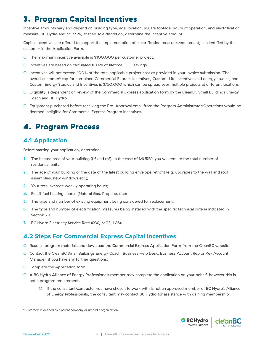## <span id="page-5-0"></span>3. Program Capital Incentives

Incentive amounts vary and depend on building type, age, location, square footage, hours of operation, and electrification measure. BC Hydro and MEMPR, at their sole discretion, determine the incentive amount.

Capital Incentives are offered to support the implementation of electrification measures/equipment, as identified by the customer in the Application Form.

- O The maximum incentive available is \$100,000 per customer project.
- Incentives are based on calculated tC02e of lifetime GHG savings.
- Incentives will not exceed 100% of the total applicable project cost as provided in your invoice submission. The overall customer3 cap for combined Commercial Express Incentives, Custom-Lite incentives and energy studies, and Custom Energy Studies and Incentives is \$750,000 which can be spread over multiple projects at different locations
- Eligibility is dependent on review of the Commercial Express application form by the CleanBC Small Buildings Energy Coach and BC Hydro.
- Equipment purchased before receiving the Pre-Approval email from the Program Administrator/Operations would be deemed ineligible for Commercial Express Program Incentives.

## 4. Program Process

#### **4.1 Application**

Before starting your application, determine:

- **1.** The heated area of your building (ft<sup>2</sup> and m<sup>2</sup>). In the case of MURB's you will require the total number of residential units;
- **2.** The age of your building or the date of the latest building envelope retrofit (e.g. upgrades to the wall and roof assemblies, new windows etc.);
- **3.** Your total average weekly operating hours;
- **4.** Fossil fuel heating source (Natural Gas, Propane, etc);
- **5.** The type and number of existing equipment being considered for replacement;
- **6.** The type and number of electrification measures being installed with the specific technical criteria indicated in Section 2.1.
- **7.** BC Hydro Electricity Service Rate (SGS, MGS, LGS).

#### **4.2 Steps For Commercial Express Capital Incentives**

- Read all program materials and download the Commercial Express Application Form from the CleanBC website.
- Contact the CleanBC Small Buildings Energy Coach, Business Help Desk, Business Account Rep or Key Account Manager, if you have any further questions.
- O Complete the Application form.
- A BC Hydro Alliance of Energy Professionals member may complete the application on your behalf, however this is not a program requirement.
	- If the consultant/contractor you have chosen to work with is not an approved member of BC Hydro's Alliance of Energy Professionals, the consultant may contact BC Hydro for assistance with gaining membership.





<sup>&</sup>lt;sup>3</sup>"Customer" is defined as a parent company or umbrella organization.